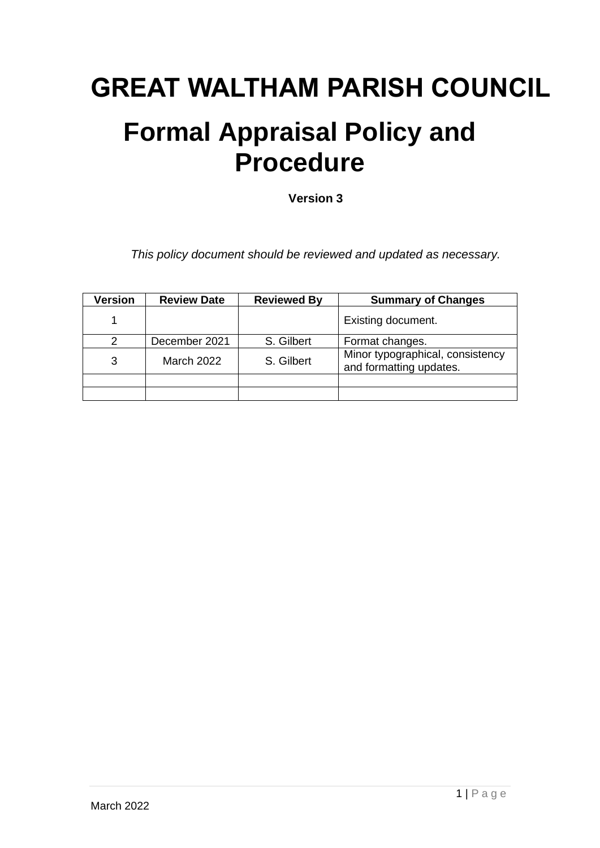# **GREAT WALTHAM PARISH COUNCIL**

## **Formal Appraisal Policy and Procedure**

**Version 3**

*This policy document should be reviewed and updated as necessary.*

| <b>Version</b> | <b>Review Date</b> | <b>Reviewed By</b> | <b>Summary of Changes</b>                                   |
|----------------|--------------------|--------------------|-------------------------------------------------------------|
|                |                    |                    | Existing document.                                          |
|                | December 2021      | S. Gilbert         | Format changes.                                             |
| 3              | <b>March 2022</b>  | S. Gilbert         | Minor typographical, consistency<br>and formatting updates. |
|                |                    |                    |                                                             |
|                |                    |                    |                                                             |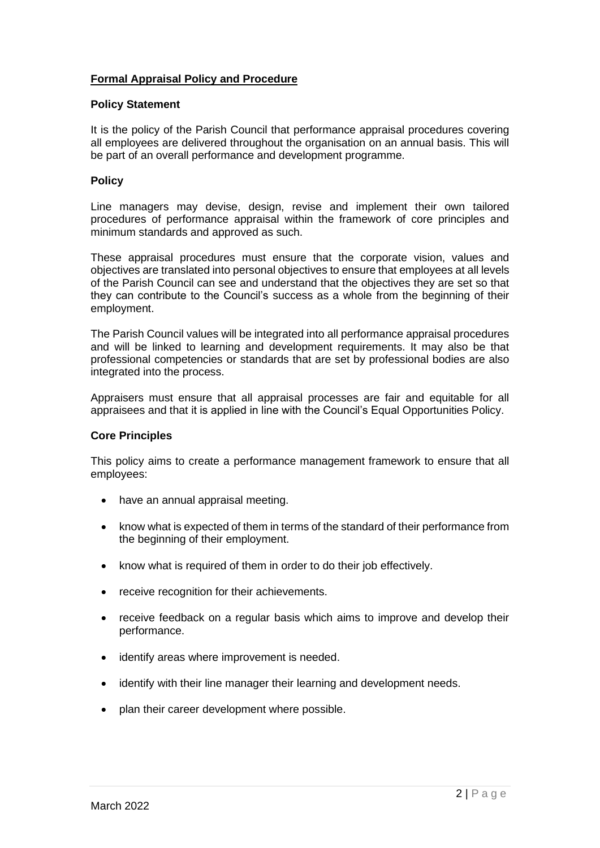## **Formal Appraisal Policy and Procedure**

## **Policy Statement**

It is the policy of the Parish Council that performance appraisal procedures covering all employees are delivered throughout the organisation on an annual basis. This will be part of an overall performance and development programme.

## **Policy**

Line managers may devise, design, revise and implement their own tailored procedures of performance appraisal within the framework of core principles and minimum standards and approved as such.

These appraisal procedures must ensure that the corporate vision, values and objectives are translated into personal objectives to ensure that employees at all levels of the Parish Council can see and understand that the objectives they are set so that they can contribute to the Council's success as a whole from the beginning of their employment.

The Parish Council values will be integrated into all performance appraisal procedures and will be linked to learning and development requirements. It may also be that professional competencies or standards that are set by professional bodies are also integrated into the process.

Appraisers must ensure that all appraisal processes are fair and equitable for all appraisees and that it is applied in line with the Council's Equal Opportunities Policy.

## **Core Principles**

This policy aims to create a performance management framework to ensure that all employees:

- have an annual appraisal meeting.
- know what is expected of them in terms of the standard of their performance from the beginning of their employment.
- know what is required of them in order to do their job effectively.
- receive recognition for their achievements.
- receive feedback on a regular basis which aims to improve and develop their performance.
- identify areas where improvement is needed.
- identify with their line manager their learning and development needs.
- plan their career development where possible.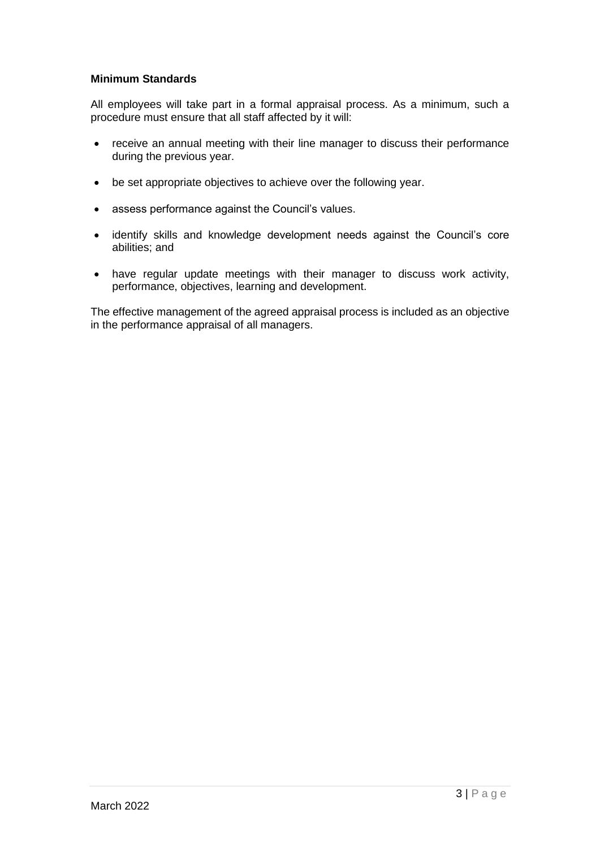## **Minimum Standards**

All employees will take part in a formal appraisal process. As a minimum, such a procedure must ensure that all staff affected by it will:

- receive an annual meeting with their line manager to discuss their performance during the previous year.
- be set appropriate objectives to achieve over the following year.
- assess performance against the Council's values.
- identify skills and knowledge development needs against the Council's core abilities; and
- have regular update meetings with their manager to discuss work activity, performance, objectives, learning and development.

The effective management of the agreed appraisal process is included as an objective in the performance appraisal of all managers.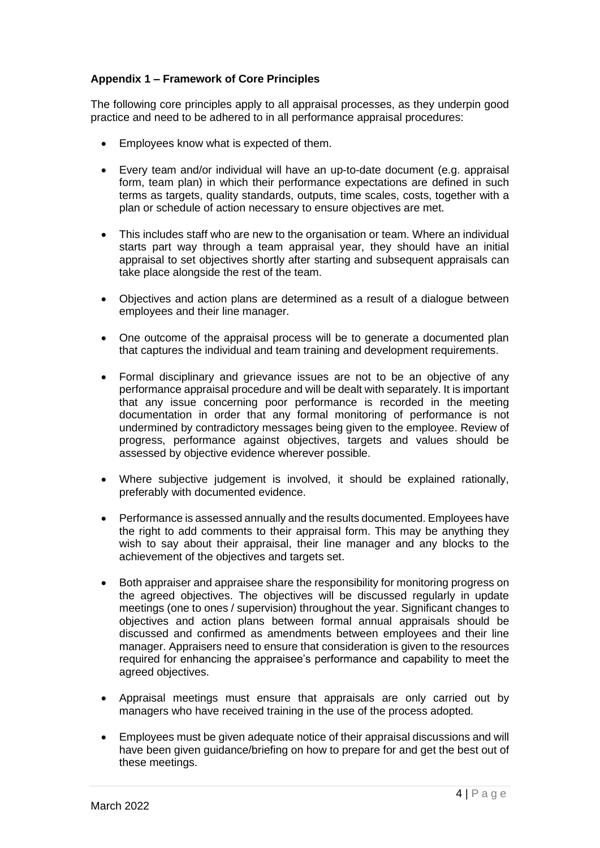## **Appendix 1 – Framework of Core Principles**

The following core principles apply to all appraisal processes, as they underpin good practice and need to be adhered to in all performance appraisal procedures:

- Employees know what is expected of them.
- Every team and/or individual will have an up-to-date document (e.g. appraisal form, team plan) in which their performance expectations are defined in such terms as targets, quality standards, outputs, time scales, costs, together with a plan or schedule of action necessary to ensure objectives are met.
- This includes staff who are new to the organisation or team. Where an individual starts part way through a team appraisal year, they should have an initial appraisal to set objectives shortly after starting and subsequent appraisals can take place alongside the rest of the team.
- Objectives and action plans are determined as a result of a dialogue between employees and their line manager.
- One outcome of the appraisal process will be to generate a documented plan that captures the individual and team training and development requirements.
- Formal disciplinary and grievance issues are not to be an objective of any performance appraisal procedure and will be dealt with separately. It is important that any issue concerning poor performance is recorded in the meeting documentation in order that any formal monitoring of performance is not undermined by contradictory messages being given to the employee. Review of progress, performance against objectives, targets and values should be assessed by objective evidence wherever possible.
- Where subjective judgement is involved, it should be explained rationally, preferably with documented evidence.
- Performance is assessed annually and the results documented. Employees have the right to add comments to their appraisal form. This may be anything they wish to say about their appraisal, their line manager and any blocks to the achievement of the objectives and targets set.
- Both appraiser and appraisee share the responsibility for monitoring progress on the agreed objectives. The objectives will be discussed regularly in update meetings (one to ones / supervision) throughout the year. Significant changes to objectives and action plans between formal annual appraisals should be discussed and confirmed as amendments between employees and their line manager. Appraisers need to ensure that consideration is given to the resources required for enhancing the appraisee's performance and capability to meet the agreed objectives.
- Appraisal meetings must ensure that appraisals are only carried out by managers who have received training in the use of the process adopted.
- Employees must be given adequate notice of their appraisal discussions and will have been given guidance/briefing on how to prepare for and get the best out of these meetings.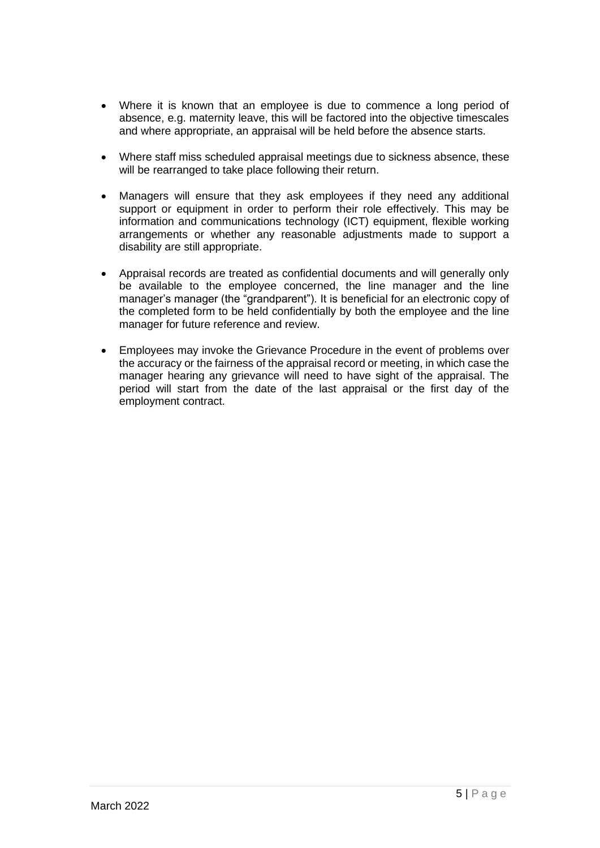- Where it is known that an employee is due to commence a long period of absence, e.g. maternity leave, this will be factored into the objective timescales and where appropriate, an appraisal will be held before the absence starts.
- Where staff miss scheduled appraisal meetings due to sickness absence, these will be rearranged to take place following their return.
- Managers will ensure that they ask employees if they need any additional support or equipment in order to perform their role effectively. This may be information and communications technology (ICT) equipment, flexible working arrangements or whether any reasonable adjustments made to support a disability are still appropriate.
- Appraisal records are treated as confidential documents and will generally only be available to the employee concerned, the line manager and the line manager's manager (the "grandparent"). It is beneficial for an electronic copy of the completed form to be held confidentially by both the employee and the line manager for future reference and review.
- Employees may invoke the Grievance Procedure in the event of problems over the accuracy or the fairness of the appraisal record or meeting, in which case the manager hearing any grievance will need to have sight of the appraisal. The period will start from the date of the last appraisal or the first day of the employment contract.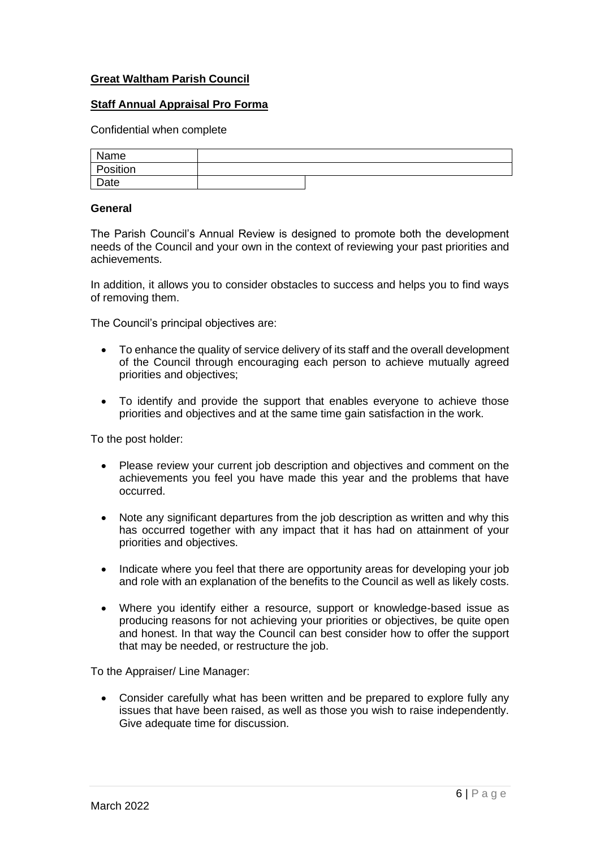## **Great Waltham Parish Council**

#### **Staff Annual Appraisal Pro Forma**

Confidential when complete

| Name              |  |  |
|-------------------|--|--|
| Position          |  |  |
| <sup>'</sup> Date |  |  |

#### **General**

The Parish Council's Annual Review is designed to promote both the development needs of the Council and your own in the context of reviewing your past priorities and achievements.

In addition, it allows you to consider obstacles to success and helps you to find ways of removing them.

The Council's principal objectives are:

- To enhance the quality of service delivery of its staff and the overall development of the Council through encouraging each person to achieve mutually agreed priorities and objectives;
- To identify and provide the support that enables everyone to achieve those priorities and objectives and at the same time gain satisfaction in the work.

To the post holder:

- Please review your current job description and objectives and comment on the achievements you feel you have made this year and the problems that have occurred.
- Note any significant departures from the job description as written and why this has occurred together with any impact that it has had on attainment of your priorities and objectives.
- Indicate where you feel that there are opportunity areas for developing your job and role with an explanation of the benefits to the Council as well as likely costs.
- Where you identify either a resource, support or knowledge-based issue as producing reasons for not achieving your priorities or objectives, be quite open and honest. In that way the Council can best consider how to offer the support that may be needed, or restructure the job.

To the Appraiser/ Line Manager:

• Consider carefully what has been written and be prepared to explore fully any issues that have been raised, as well as those you wish to raise independently. Give adequate time for discussion.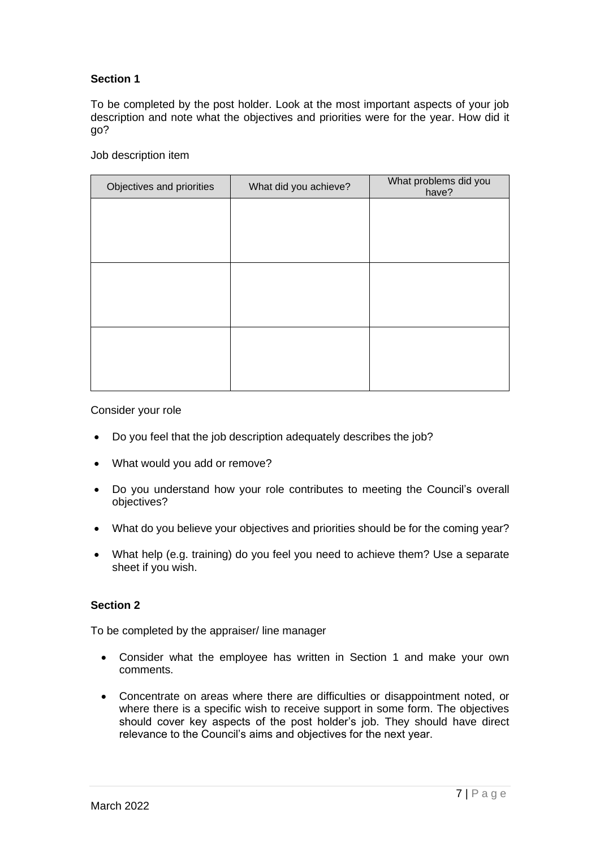## **Section 1**

To be completed by the post holder. Look at the most important aspects of your job description and note what the objectives and priorities were for the year. How did it go?

Job description item

| Objectives and priorities | What did you achieve? | What problems did you<br>have? |
|---------------------------|-----------------------|--------------------------------|
|                           |                       |                                |
|                           |                       |                                |
|                           |                       |                                |
|                           |                       |                                |
|                           |                       |                                |
|                           |                       |                                |
|                           |                       |                                |
|                           |                       |                                |
|                           |                       |                                |

Consider your role

- Do you feel that the job description adequately describes the job?
- What would you add or remove?
- Do you understand how your role contributes to meeting the Council's overall objectives?
- What do you believe your objectives and priorities should be for the coming year?
- What help (e.g. training) do you feel you need to achieve them? Use a separate sheet if you wish.

## **Section 2**

To be completed by the appraiser/ line manager

- Consider what the employee has written in Section 1 and make your own comments.
- Concentrate on areas where there are difficulties or disappointment noted, or where there is a specific wish to receive support in some form. The objectives should cover key aspects of the post holder's job. They should have direct relevance to the Council's aims and objectives for the next year.